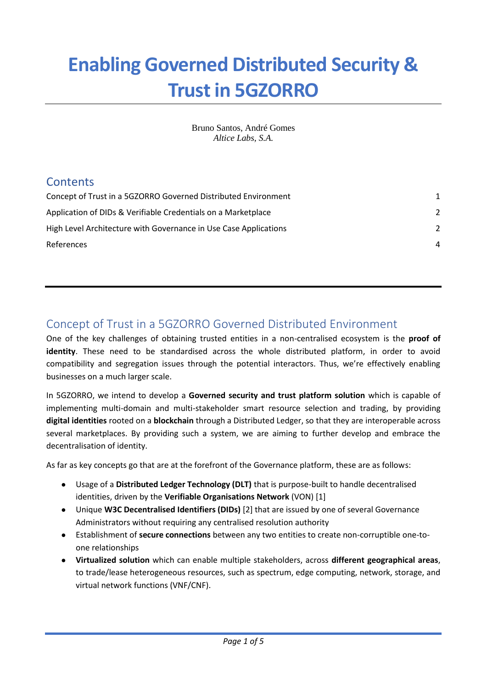# **Enabling Governed Distributed Security & Trust in 5GZORRO**

Bruno Santos, André Gomes *Altice Labs, S.A.*

### **Contents**

| $\mathcal{P}$ |
|---------------|
| $\mathcal{P}$ |
| 4             |
|               |

# <span id="page-0-0"></span>Concept of Trust in a 5GZORRO Governed Distributed Environment

One of the key challenges of obtaining trusted entities in a non-centralised ecosystem is the **proof of identity**. These need to be standardised across the whole distributed platform, in order to avoid compatibility and segregation issues through the potential interactors. Thus, we're effectively enabling businesses on a much larger scale.

In 5GZORRO, we intend to develop a **Governed security and trust platform solution** which is capable of implementing multi-domain and multi-stakeholder smart resource selection and trading, by providing **digital identities** rooted on a **blockchain** through a Distributed Ledger, so that they are interoperable across several marketplaces. By providing such a system, we are aiming to further develop and embrace the decentralisation of identity.

As far as key concepts go that are at the forefront of the Governance platform, these are as follows:

- Usage of a **Distributed Ledger Technology (DLT)** that is purpose-built to handle decentralised identities, driven by the **Verifiable Organisations Network** (VON) [1]
- Unique **W3C Decentralised Identifiers (DIDs)** [2] that are issued by one of several Governance Administrators without requiring any centralised resolution authority
- Establishment of **secure connections** between any two entities to create non-corruptible one-toone relationships
- **Virtualized solution** which can enable multiple stakeholders, across **different geographical areas**, to trade/lease heterogeneous resources, such as spectrum, edge computing, network, storage, and virtual network functions (VNF/CNF).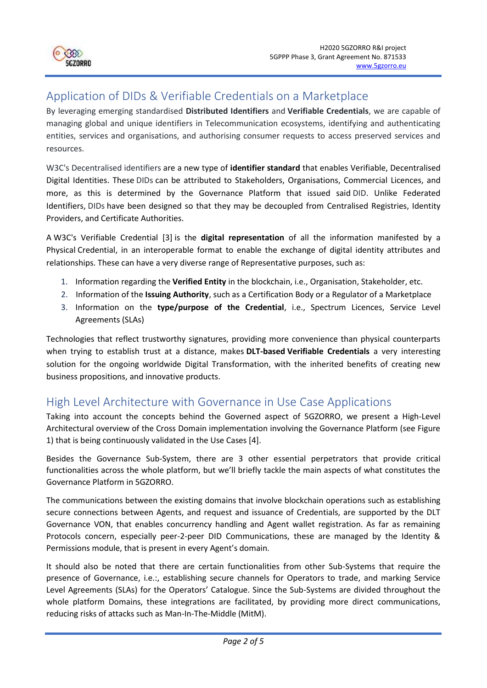

## <span id="page-1-0"></span>Application of DIDs & Verifiable Credentials on a Marketplace

By leveraging emerging standardised **Distributed Identifiers** and **Verifiable Credentials**, we are capable of managing global and unique identifiers in Telecommunication ecosystems, identifying and authenticating entities, services and organisations, and authorising consumer requests to access preserved services and resources.

W3C's Decentralised identifiers are a new type of **identifier standard** that enables Verifiable, Decentralised Digital Identities. These DIDs can be attributed to Stakeholders, Organisations, Commercial Licences, and more, as this is determined by the Governance Platform that issued said DID. Unlike Federated Identifiers, DIDs have been designed so that they may be decoupled from Centralised Registries, Identity Providers, and Certificate Authorities.

A W3C's Verifiable Credential [3] is the **digital representation** of all the information manifested by a Physical Credential, in an interoperable format to enable the exchange of digital identity attributes and relationships. These can have a very diverse range of Representative purposes, such as:

- 1. Information regarding the **Verified Entity** in the blockchain, i.e., Organisation, Stakeholder, etc.
- 2. Information of the **Issuing Authority**, such as a Certification Body or a Regulator of a Marketplace
- 3. Information on the **type/purpose of the Credential**, i.e., Spectrum Licences, Service Level Agreements (SLAs)

Technologies that reflect trustworthy signatures, providing more convenience than physical counterparts when trying to establish trust at a distance, makes **DLT-based Verifiable Credentials** a very interesting solution for the ongoing worldwide Digital Transformation, with the inherited benefits of creating new business propositions, and innovative products.

### <span id="page-1-1"></span>High Level Architecture with Governance in Use Case Applications

Taking into account the concepts behind the Governed aspect of 5GZORRO, we present a High-Level Architectural overview of the Cross Domain implementation involving the Governance Platform (see Figure 1) that is being continuously validated in the Use Cases [4].

Besides the Governance Sub-System, there are 3 other essential perpetrators that provide critical functionalities across the whole platform, but we'll briefly tackle the main aspects of what constitutes the Governance Platform in 5GZORRO.

The communications between the existing domains that involve blockchain operations such as establishing secure connections between Agents, and request and issuance of Credentials, are supported by the DLT Governance VON, that enables concurrency handling and Agent wallet registration. As far as remaining Protocols concern, especially peer-2-peer DID Communications, these are managed by the Identity & Permissions module, that is present in every Agent's domain.

It should also be noted that there are certain functionalities from other Sub-Systems that require the presence of Governance, i.e.:, establishing secure channels for Operators to trade, and marking Service Level Agreements (SLAs) for the Operators' Catalogue. Since the Sub-Systems are divided throughout the whole platform Domains, these integrations are facilitated, by providing more direct communications, reducing risks of attacks such as Man-In-The-Middle (MitM).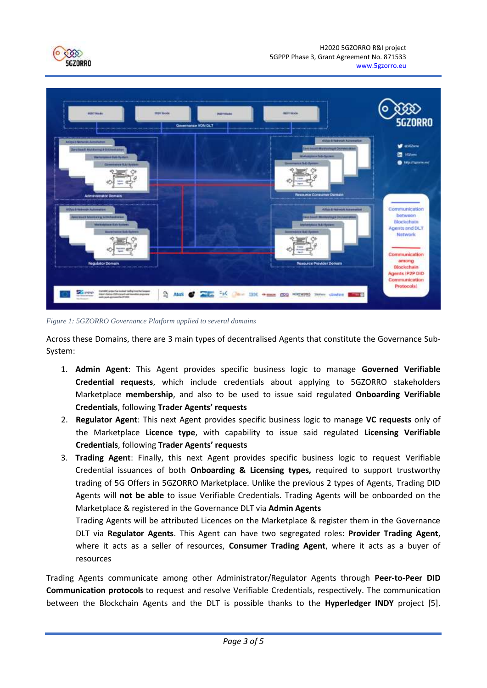



*Figure 1: 5GZORRO Governance Platform applied to several domains*

Across these Domains, there are 3 main types of decentralised Agents that constitute the Governance Sub-System:

- 1. **Admin Agent**: This Agent provides specific business logic to manage **Governed Verifiable Credential requests**, which include credentials about applying to 5GZORRO stakeholders Marketplace **membership**, and also to be used to issue said regulated **Onboarding Verifiable Credentials**, following **Trader Agents' requests**
- 2. **Regulator Agent**: This next Agent provides specific business logic to manage **VC requests** only of the Marketplace **Licence type**, with capability to issue said regulated **Licensing Verifiable Credentials**, following **Trader Agents' requests**
- 3. **Trading Agent**: Finally, this next Agent provides specific business logic to request Verifiable Credential issuances of both **Onboarding & Licensing types,** required to support trustworthy trading of 5G Offers in 5GZORRO Marketplace. Unlike the previous 2 types of Agents, Trading DID Agents will **not be able** to issue Verifiable Credentials. Trading Agents will be onboarded on the Marketplace & registered in the Governance DLT via **Admin Agents**

Trading Agents will be attributed Licences on the Marketplace & register them in the Governance DLT via **Regulator Agents**. This Agent can have two segregated roles: **Provider Trading Agent**, where it acts as a seller of resources, **Consumer Trading Agent**, where it acts as a buyer of resources

Trading Agents communicate among other Administrator/Regulator Agents through **Peer-to-Peer DID Communication protocols** to request and resolve Verifiable Credentials, respectively. The communication between the Blockchain Agents and the DLT is possible thanks to the **Hyperledger INDY** project [5].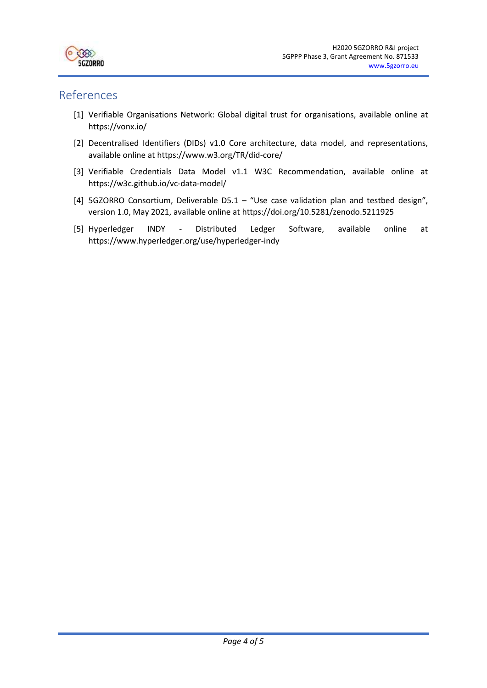

#### <span id="page-3-0"></span>References

- [1] Verifiable Organisations Network: Global digital trust for organisations, available online at https://vonx.io/
- [2] Decentralised Identifiers (DIDs) v1.0 Core architecture, data model, and representations, available online at https://www.w3.org/TR/did-core/
- [3] Verifiable Credentials Data Model v1.1 W3C Recommendation, available online at https://w3c.github.io/vc-data-model/
- [4] 5GZORRO Consortium, Deliverable D5.1 "Use case validation plan and testbed design", version 1.0, May 2021, available online at https://doi.org/10.5281/zenodo.5211925
- [5] Hyperledger INDY Distributed Ledger Software, available online at https://www.hyperledger.org/use/hyperledger-indy